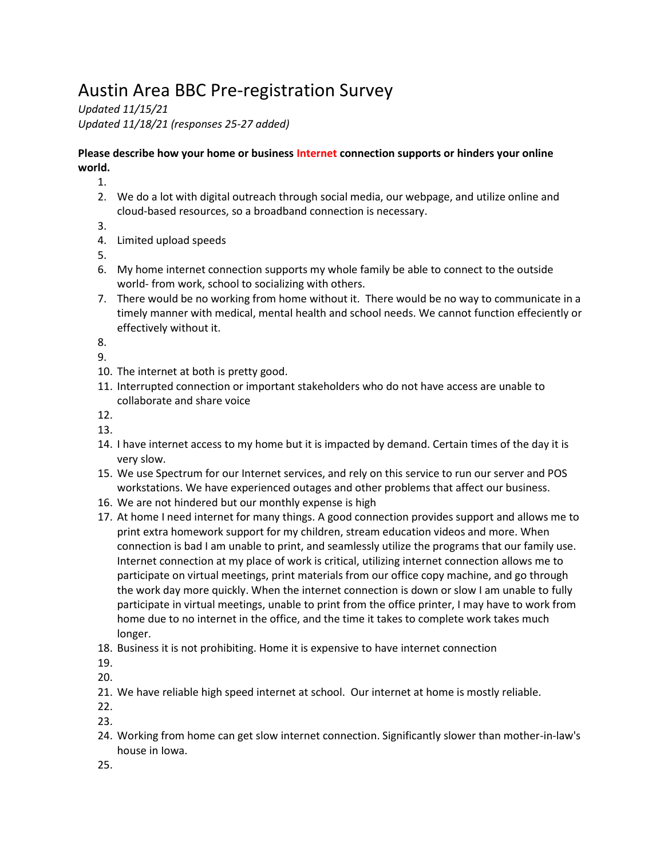# Austin Area BBC Pre-registration Survey

*Updated 11/15/21 Updated 11/18/21 (responses 25-27 added)*

### **Please describe how your home or business Internet connection supports or hinders your online world.**

1.

- 2. We do a lot with digital outreach through social media, our webpage, and utilize online and cloud-based resources, so a broadband connection is necessary.
- 3.
- 4. Limited upload speeds
- 5.
- 6. My home internet connection supports my whole family be able to connect to the outside world- from work, school to socializing with others.
- 7. There would be no working from home without it. There would be no way to communicate in a timely manner with medical, mental health and school needs. We cannot function effeciently or effectively without it.

8.

9.

- 10. The internet at both is pretty good.
- 11. Interrupted connection or important stakeholders who do not have access are unable to collaborate and share voice

12.

- 13.
- 14. I have internet access to my home but it is impacted by demand. Certain times of the day it is very slow.
- 15. We use Spectrum for our Internet services, and rely on this service to run our server and POS workstations. We have experienced outages and other problems that affect our business.
- 16. We are not hindered but our monthly expense is high
- 17. At home I need internet for many things. A good connection provides support and allows me to print extra homework support for my children, stream education videos and more. When connection is bad I am unable to print, and seamlessly utilize the programs that our family use. Internet connection at my place of work is critical, utilizing internet connection allows me to participate on virtual meetings, print materials from our office copy machine, and go through the work day more quickly. When the internet connection is down or slow I am unable to fully participate in virtual meetings, unable to print from the office printer, I may have to work from home due to no internet in the office, and the time it takes to complete work takes much longer.
- 18. Business it is not prohibiting. Home it is expensive to have internet connection

19.

20.

21. We have reliable high speed internet at school. Our internet at home is mostly reliable.

22.

23.

24. Working from home can get slow internet connection. Significantly slower than mother-in-law's house in Iowa.

25.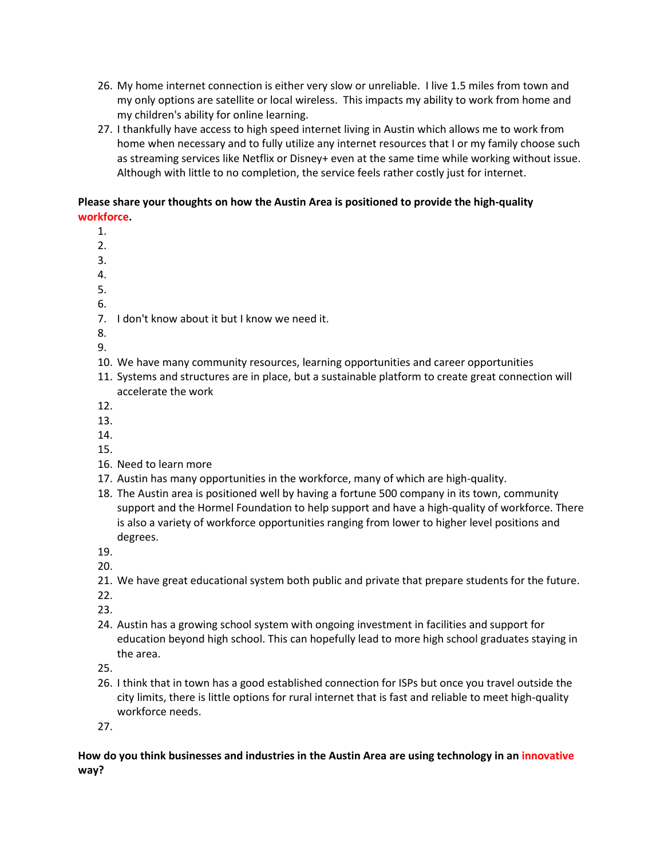- 26. My home internet connection is either very slow or unreliable. I live 1.5 miles from town and my only options are satellite or local wireless. This impacts my ability to work from home and my children's ability for online learning.
- 27. I thankfully have access to high speed internet living in Austin which allows me to work from home when necessary and to fully utilize any internet resources that I or my family choose such as streaming services like Netflix or Disney+ even at the same time while working without issue. Although with little to no completion, the service feels rather costly just for internet.

#### **Please share your thoughts on how the Austin Area is positioned to provide the high-quality workforce.**

- 1.
- 2.
- 3.
- 4.
- 5. 6.
- 
- 7. I don't know about it but I know we need it.
- 8.
- 9.
- 10. We have many community resources, learning opportunities and career opportunities
- 11. Systems and structures are in place, but a sustainable platform to create great connection will accelerate the work
- 12.
- 13.
- 14.
- 15.
- 16. Need to learn more
- 17. Austin has many opportunities in the workforce, many of which are high-quality.
- 18. The Austin area is positioned well by having a fortune 500 company in its town, community support and the Hormel Foundation to help support and have a high-quality of workforce. There is also a variety of workforce opportunities ranging from lower to higher level positions and degrees.
- 19.
- 20.
- 21. We have great educational system both public and private that prepare students for the future.
- 22.
- 23.
- 24. Austin has a growing school system with ongoing investment in facilities and support for education beyond high school. This can hopefully lead to more high school graduates staying in the area.

25.

26. I think that in town has a good established connection for ISPs but once you travel outside the city limits, there is little options for rural internet that is fast and reliable to meet high-quality workforce needs.

27.

### **How do you think businesses and industries in the Austin Area are using technology in an innovative way?**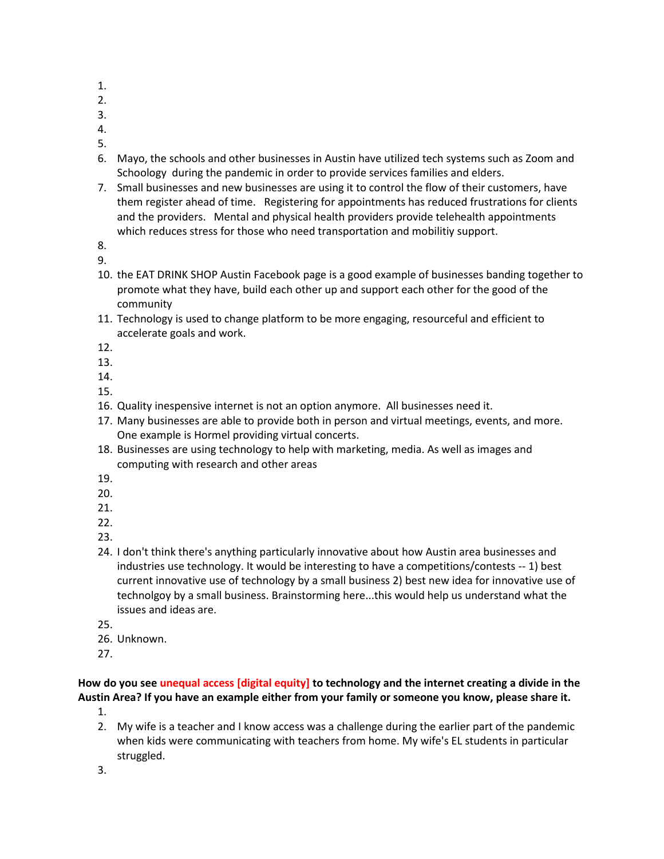- 1.
- 2.
- 3.
- 4.
- 5.
- 6. Mayo, the schools and other businesses in Austin have utilized tech systems such as Zoom and Schoology during the pandemic in order to provide services families and elders.
- 7. Small businesses and new businesses are using it to control the flow of their customers, have them register ahead of time. Registering for appointments has reduced frustrations for clients and the providers. Mental and physical health providers provide telehealth appointments which reduces stress for those who need transportation and mobilitiy support.
- 8.
- 9.
- 10. the EAT DRINK SHOP Austin Facebook page is a good example of businesses banding together to promote what they have, build each other up and support each other for the good of the community
- 11. Technology is used to change platform to be more engaging, resourceful and efficient to accelerate goals and work.
- 12.
- 13.
- 14.
- 15.
- 16. Quality inespensive internet is not an option anymore. All businesses need it.
- 17. Many businesses are able to provide both in person and virtual meetings, events, and more. One example is Hormel providing virtual concerts.
- 18. Businesses are using technology to help with marketing, media. As well as images and computing with research and other areas
- 19.
- 20.
- 21.
- 22.
- 23.
- 24. I don't think there's anything particularly innovative about how Austin area businesses and industries use technology. It would be interesting to have a competitions/contests -- 1) best current innovative use of technology by a small business 2) best new idea for innovative use of technolgoy by a small business. Brainstorming here...this would help us understand what the issues and ideas are.
- 25.
- 26. Unknown.
- 27.

**How do you see unequal access [digital equity] to technology and the internet creating a divide in the Austin Area? If you have an example either from your family or someone you know, please share it.**

- 1.
- 2. My wife is a teacher and I know access was a challenge during the earlier part of the pandemic when kids were communicating with teachers from home. My wife's EL students in particular struggled.
- 3.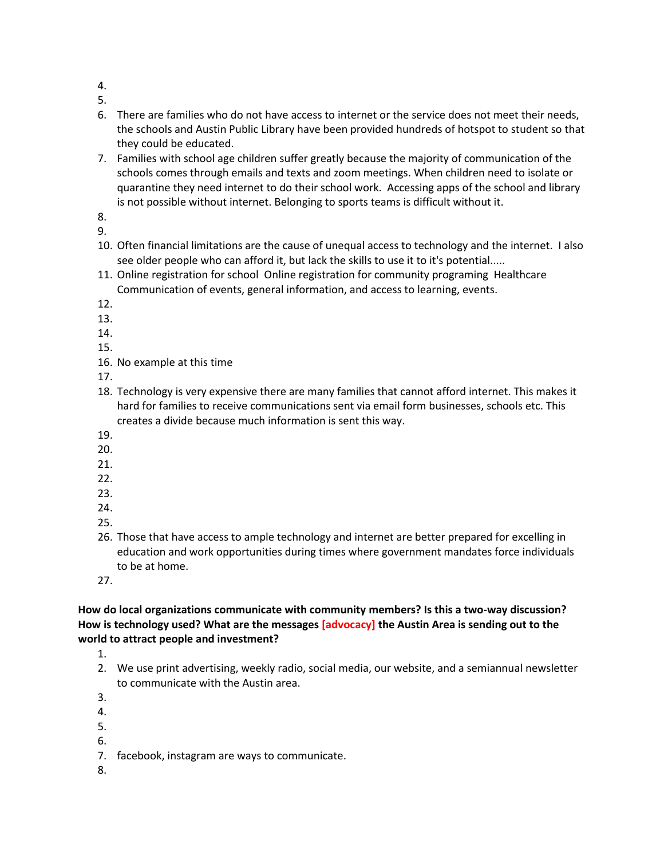4.

5.

- 6. There are families who do not have access to internet or the service does not meet their needs, the schools and Austin Public Library have been provided hundreds of hotspot to student so that they could be educated.
- 7. Families with school age children suffer greatly because the majority of communication of the schools comes through emails and texts and zoom meetings. When children need to isolate or quarantine they need internet to do their school work. Accessing apps of the school and library is not possible without internet. Belonging to sports teams is difficult without it.

8. 9.

- 10. Often financial limitations are the cause of unequal access to technology and the internet. I also see older people who can afford it, but lack the skills to use it to it's potential.....
- 11. Online registration for school Online registration for community programing Healthcare Communication of events, general information, and access to learning, events.
- 12.
- 13.
- 14.

15.

16. No example at this time

17.

- 18. Technology is very expensive there are many families that cannot afford internet. This makes it hard for families to receive communications sent via email form businesses, schools etc. This creates a divide because much information is sent this way.
- 19.
- 20.
- 21.
- 22.
- 23.
- 24.
- 25.
- 26. Those that have access to ample technology and internet are better prepared for excelling in education and work opportunities during times where government mandates force individuals to be at home.

27.

## **How do local organizations communicate with community members? Is this a two-way discussion? How is technology used? What are the messages [advocacy] the Austin Area is sending out to the world to attract people and investment?**

1.

2. We use print advertising, weekly radio, social media, our website, and a semiannual newsletter to communicate with the Austin area.

3.

- 4.
- 5.
- 6.
- 7. facebook, instagram are ways to communicate.
- 8.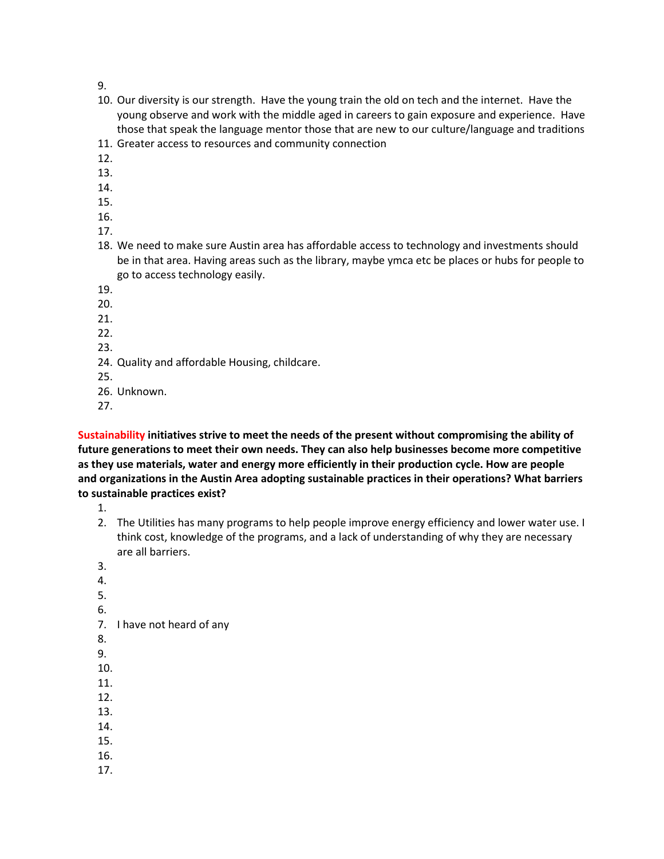9.

- 10. Our diversity is our strength. Have the young train the old on tech and the internet. Have the young observe and work with the middle aged in careers to gain exposure and experience. Have those that speak the language mentor those that are new to our culture/language and traditions
- 11. Greater access to resources and community connection
- 12.
- 13.
- 14.
- 15.
- 16.
- 17.
- 18. We need to make sure Austin area has affordable access to technology and investments should be in that area. Having areas such as the library, maybe ymca etc be places or hubs for people to go to access technology easily.
- 19.
- 20.
- 21.
- 22.
- 23.
- 24. Quality and affordable Housing, childcare.
- 25.
- 26. Unknown.
- 27.

**Sustainability initiatives strive to meet the needs of the present without compromising the ability of future generations to meet their own needs. They can also help businesses become more competitive as they use materials, water and energy more efficiently in their production cycle. How are people and organizations in the Austin Area adopting sustainable practices in their operations? What barriers to sustainable practices exist?**

1.

- 2. The Utilities has many programs to help people improve energy efficiency and lower water use. I think cost, knowledge of the programs, and a lack of understanding of why they are necessary are all barriers.
- 3.
- 4.
- 5.
- 6.
- 7. I have not heard of any
- 8.
- 9.
- 10.
- 11.
- 12.
- 13.
- 14.
- 15.
- 16.
- 17.